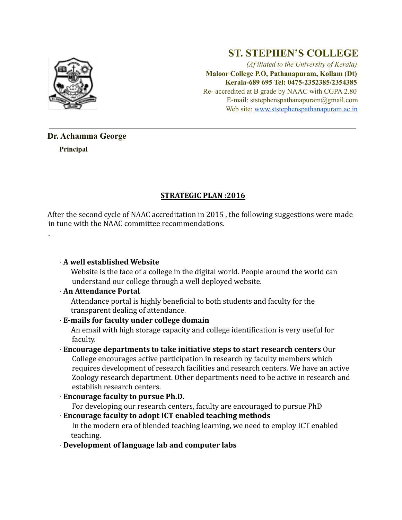

# **ST. STEPHEN'S COLLEGE**

*(Af iliated to the University of Kerala)* **Maloor College P.O, Pathanapuram, Kollam (Dt) Kerala-689 695 Tel: 0475-2352385/2354385** Re- accredited at B grade by NAAC with CGPA 2.80 E-mail: ststephenspathanapuram@gmail.com Web site: www.ststephenspathanapuram.ac.in

## **Dr. Achamma George**

**Principal**

.

## **STRATEGIC PLAN :2016**

After the second cycle of NAAC accreditation in 2015 , the following suggestions were made in tune with the NAAC committee recommendations.

## ∙ **A well established Website**

Website is the face of a college in the digital world. People around the world can understand our college through a well deployed website.

## ∙ **An Attendance Portal**

Attendance portal is highly beneficial to both students and faculty for the transparent dealing of attendance.

## ∙ **E-mails for faculty under college domain**

An email with high storage capacity and college identification is very useful for faculty.

#### ∙ **Encourage departments to take initiative steps to start research centers** Our College encourages active participation in research by faculty members which requires development of research facilities and research centers. We have an active Zoology research department. Other departments need to be active in research and establish research centers.

∙ **Encourage faculty to pursue Ph.D.**

For developing our research centers, faculty are encouraged to pursue PhD

∙ **Encourage faculty to adopt ICT enabled teaching methods**

In the modern era of blended teaching learning, we need to employ ICT enabled teaching.

∙ **Development of language lab and computer labs**